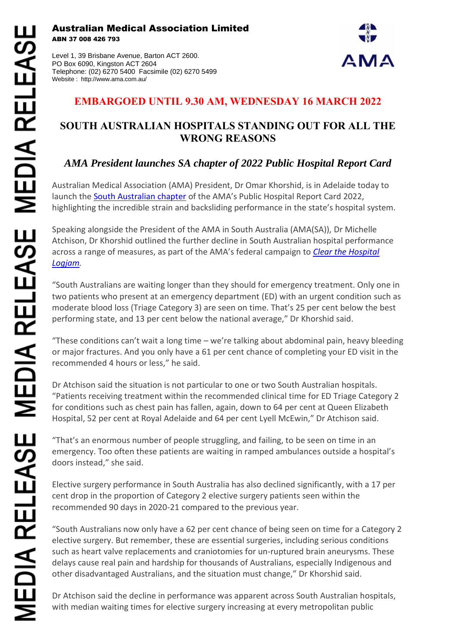Australian Medical Association Limited ABN 37 008 426 793

Level 1, 39 Brisbane Avenue, Barton ACT 2600. PO Box 6090, Kingston ACT 2604 Telephone: (02) 6270 5400 Facsimile (02) 6270 5499 Website : http://www.ama.com.au/



## **EMBARGOED UNTIL 9.30 AM, WEDNESDAY 16 MARCH 2022**

## **SOUTH AUSTRALIAN HOSPITALS STANDING OUT FOR ALL THE WRONG REASONS**

# *AMA President launches SA chapter of 2022 Public Hospital Report Card*

Australian Medical Association (AMA) President, Dr Omar Khorshid, is in Adelaide today to launch the **South Australian chapter** of the AMA's Public Hospital Report Card 2022, highlighting the incredible strain and backsliding performance in the state's hospital system.

Speaking alongside the President of the AMA in South Australia (AMA(SA)), Dr Michelle Atchison, Dr Khorshid outlined the further decline in South Australian hospital performance across a range of measures, as part of the AMA's federal campaign to *[Clear the Hospital](https://www.ama.com.au/clear-the-hospital-logjam)  [Logjam.](https://www.ama.com.au/clear-the-hospital-logjam)*

"South Australians are waiting longer than they should for emergency treatment. Only one in two patients who present at an emergency department (ED) with an urgent condition such as moderate blood loss (Triage Category 3) are seen on time. That's 25 per cent below the best performing state, and 13 per cent below the national average," Dr Khorshid said.

"These conditions can't wait a long time – we're talking about abdominal pain, heavy bleeding or major fractures. And you only have a 61 per cent chance of completing your ED visit in the recommended 4 hours or less," he said.

Dr Atchison said the situation is not particular to one or two South Australian hospitals. "Patients receiving treatment within the recommended clinical time for ED Triage Category 2 for conditions such as chest pain has fallen, again, down to 64 per cent at Queen Elizabeth Hospital, 52 per cent at Royal Adelaide and 64 per cent Lyell McEwin," Dr Atchison said.

"That's an enormous number of people struggling, and failing, to be seen on time in an emergency. Too often these patients are waiting in ramped ambulances outside a hospital's doors instead," she said.

Elective surgery performance in South Australia has also declined significantly, with a 17 per cent drop in the proportion of Category 2 elective surgery patients seen within the recommended 90 days in 2020-21 compared to the previous year.

"South Australians now only have a 62 per cent chance of being seen on time for a Category 2 elective surgery. But remember, these are essential surgeries, including serious conditions such as heart valve replacements and craniotomies for un-ruptured brain aneurysms. These delays cause real pain and hardship for thousands of Australians, especially Indigenous and other disadvantaged Australians, and the situation must change," Dr Khorshid said.

Dr Atchison said the decline in performance was apparent across South Australian hospitals, with median waiting times for elective surgery increasing at every metropolitan public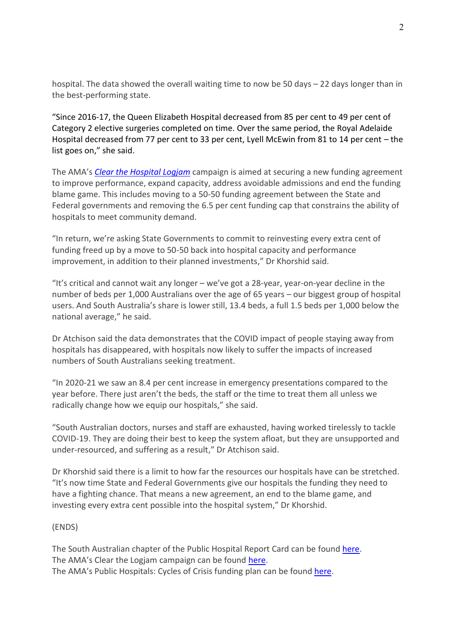hospital. The data showed the overall waiting time to now be 50 days – 22 days longer than in the best-performing state.

"Since 2016-17, the Queen Elizabeth Hospital decreased from 85 per cent to 49 per cent of Category 2 elective surgeries completed on time. Over the same period, the Royal Adelaide Hospital decreased from 77 per cent to 33 per cent, Lyell McEwin from 81 to 14 per cent – the list goes on," she said.

The AMA's *[Clear the Hospital Logjam](https://www.ama.com.au/clear-the-hospital-logjam)* campaign is aimed at securing a new funding agreement to improve performance, expand capacity, address avoidable admissions and end the funding blame game. This includes moving to a 50-50 funding agreement between the State and Federal governments and removing the 6.5 per cent funding cap that constrains the ability of hospitals to meet community demand.

"In return, we're asking State Governments to commit to reinvesting every extra cent of funding freed up by a move to 50-50 back into hospital capacity and performance improvement, in addition to their planned investments," Dr Khorshid said.

"It's critical and cannot wait any longer – we've got a 28-year, year-on-year decline in the number of beds per 1,000 Australians over the age of 65 years – our biggest group of hospital users. And South Australia's share is lower still, 13.4 beds, a full 1.5 beds per 1,000 below the national average," he said.

Dr Atchison said the data demonstrates that the COVID impact of people staying away from hospitals has disappeared, with hospitals now likely to suffer the impacts of increased numbers of South Australians seeking treatment.

"In 2020-21 we saw an 8.4 per cent increase in emergency presentations compared to the year before. There just aren't the beds, the staff or the time to treat them all unless we radically change how we equip our hospitals," she said.

"South Australian doctors, nurses and staff are exhausted, having worked tirelessly to tackle COVID-19. They are doing their best to keep the system afloat, but they are unsupported and under-resourced, and suffering as a result," Dr Atchison said.

Dr Khorshid said there is a limit to how far the resources our hospitals have can be stretched. "It's now time State and Federal Governments give our hospitals the funding they need to have a fighting chance. That means a new agreement, an end to the blame game, and investing every extra cent possible into the hospital system," Dr Khorshid.

### (ENDS)

The South Australian chapter of the Public Hospital Report Card can be found [here.](https://www.ama.com.au/clear-the-hospital-logjam/phrc-sa) The AMA's Clear the Logjam campaign can be found [here.](https://www.ama.com.au/clear-the-hospital-logjam) The AMA's Public Hospitals: Cycles of Crisis funding plan can be found [here.](https://www.ama.com.au/public-hospitals-cycle-of-crisis)